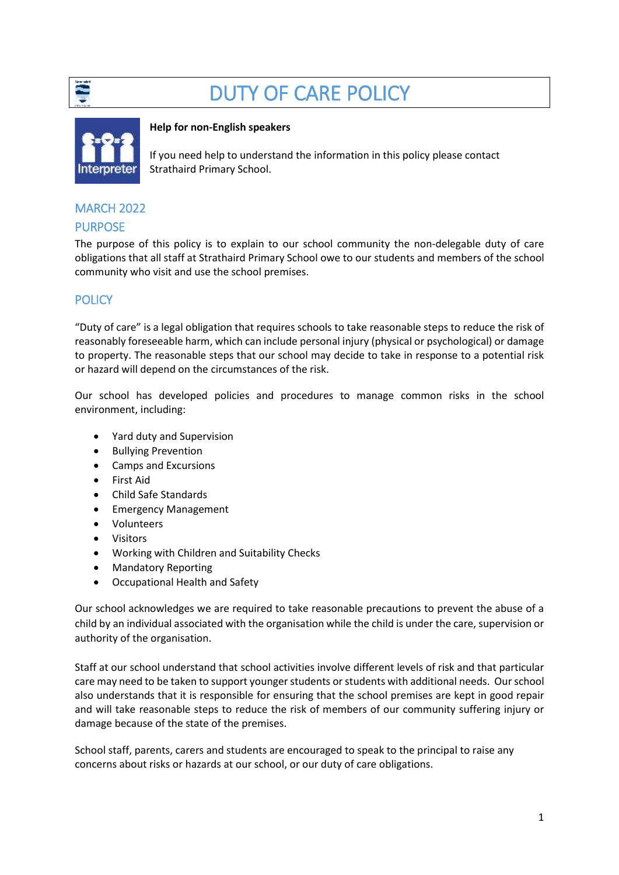

# DUTY OF CARE POLICY



#### **Help for non-English speakers**

If you need help to understand the information in this policy please contact Strathaird Primary School.

## MARCH 2022

#### PURPOSE

The purpose of this policy is to explain to our school community the non-delegable duty of care obligations that all staff at Strathaird Primary School owe to our students and members of the school community who visit and use the school premises.

## **POLICY**

"Duty of care" is a legal obligation that requires schools to take reasonable steps to reduce the risk of reasonably foreseeable harm, which can include personal injury (physical or psychological) or damage to property. The reasonable steps that our school may decide to take in response to a potential risk or hazard will depend on the circumstances of the risk.

Our school has developed policies and procedures to manage common risks in the school environment, including:

- Yard duty and Supervision
- Bullying Prevention
- Camps and Excursions
- First Aid
- Child Safe Standards
- Emergency Management
- Volunteers
- Visitors
- Working with Children and Suitability Checks
- Mandatory Reporting
- Occupational Health and Safety

Our school acknowledges we are required to take reasonable precautions to prevent the abuse of a child by an individual associated with the organisation while the child is under the care, supervision or authority of the organisation.

Staff at our school understand that school activities involve different levels of risk and that particular care may need to be taken to support younger students or students with additional needs. Our school also understands that it is responsible for ensuring that the school premises are kept in good repair and will take reasonable steps to reduce the risk of members of our community suffering injury or damage because of the state of the premises.

School staff, parents, carers and students are encouraged to speak to the principal to raise any concerns about risks or hazards at our school, or our duty of care obligations.